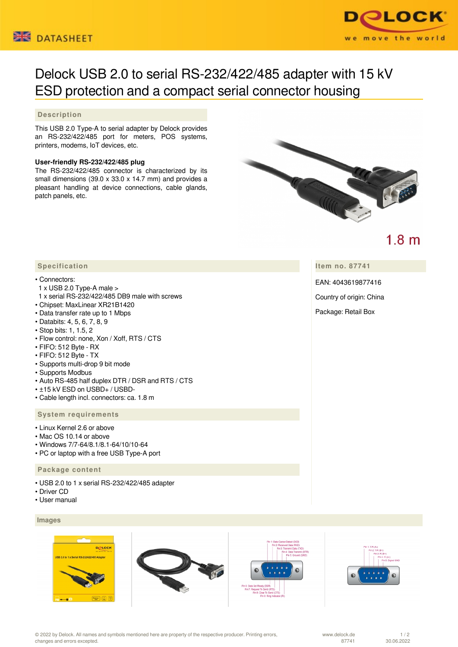



# Delock USB 2.0 to serial RS-232/422/485 adapter with 15 kV ESD protection and a compact serial connector housing

## **Description**

This USB 2.0 Type-A to serial adapter by Delock provides an RS-232/422/485 port for meters, POS systems, printers, modems, IoT devices, etc.

#### **User-friendly RS-232/422/485 plug**

The RS-232/422/485 connector is characterized by its small dimensions (39.0 x 33.0 x 14.7 mm) and provides a pleasant handling at device connections, cable glands, patch panels, etc.



 $1.8<sub>m</sub>$ 

**Item no. 87741**

EAN: 4043619877416

Country of origin: China

Package: Retail Box

## **Specification**

#### • Connectors:

- 1 x USB 2.0 Type-A male >
- 1 x serial RS-232/422/485 DB9 male with screws
- Chipset: MaxLinear XR21B1420
- Data transfer rate up to 1 Mbps
- Databits: 4, 5, 6, 7, 8, 9
- Stop bits: 1, 1.5, 2
- Flow control: none, Xon / Xoff, RTS / CTS
- FIFO: 512 Byte RX
- FIFO: 512 Byte TX
- Supports multi-drop 9 bit mode
- Supports Modbus
- Auto RS-485 half duplex DTR / DSR and RTS / CTS
- ±15 kV ESD on USBD+ / USBD-
- Cable length incl. connectors: ca. 1.8 m

## **System requirements**

- Linux Kernel 2.6 or above
- Mac OS 10.14 or above
- Windows 7/7-64/8.1/8.1-64/10/10-64
- PC or laptop with a free USB Type-A port

#### **Package content**

- USB 2.0 to 1 x serial RS-232/422/485 adapter
- Driver CD
- User manual

 **Images**